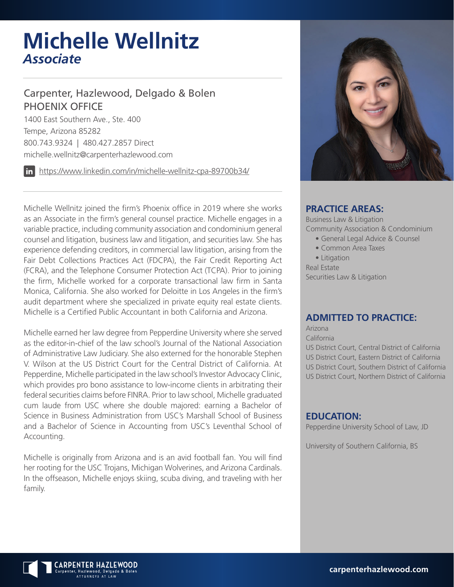# **Michelle Wellnitz** *Associate*

# Carpenter, Hazlewood, Delgado & Bolen PHOENIX OFFICE

1400 East Southern Ave., Ste. 400 Tempe, Arizona 85282 800.743.9324 | 480.427.2857 Direct michelle.wellnitz@carpenterhazlewood.com

https://www.linkedin.com/in/michelle-wellnitz-cpa-89700b34/

Michelle Wellnitz joined the firm's Phoenix office in 2019 where she works as an Associate in the firm's general counsel practice. Michelle engages in a variable practice, including community association and condominium general counsel and litigation, business law and litigation, and securities law. She has experience defending creditors, in commercial law litigation, arising from the Fair Debt Collections Practices Act (FDCPA), the Fair Credit Reporting Act (FCRA), and the Telephone Consumer Protection Act (TCPA). Prior to joining the firm, Michelle worked for a corporate transactional law firm in Santa Monica, California. She also worked for Deloitte in Los Angeles in the firm's audit department where she specialized in private equity real estate clients. Michelle is a Certified Public Accountant in both California and Arizona.

Michelle earned her law degree from Pepperdine University where she served as the editor-in-chief of the law school's Journal of the National Association of Administrative Law Judiciary. She also externed for the honorable Stephen V. Wilson at the US District Court for the Central District of California. At Pepperdine, Michelle participated in the law school's Investor Advocacy Clinic, which provides pro bono assistance to low-income clients in arbitrating their federal securities claims before FINRA. Prior to law school, Michelle graduated cum laude from USC where she double majored: earning a Bachelor of Science in Business Administration from USC's Marshall School of Business and a Bachelor of Science in Accounting from USC's Leventhal School of Accounting.

Michelle is originally from Arizona and is an avid football fan. You will find her rooting for the USC Trojans, Michigan Wolverines, and Arizona Cardinals. In the offseason, Michelle enjoys skiing, scuba diving, and traveling with her family.



### **PRACTICE AREAS:**

Business Law & Litigation Community Association & Condominium

- General Legal Advice & Counsel
- Common Area Taxes

• Litigation Real Estate Securities Law & Litigation

## **ADMITTED TO PRACTICE:**

Arizona California US District Court, Central District of California US District Court, Eastern District of California US District Court, Southern District of California US District Court, Northern District of California

#### **EDUCATION:**

Pepperdine University School of Law, JD

University of Southern California, BS